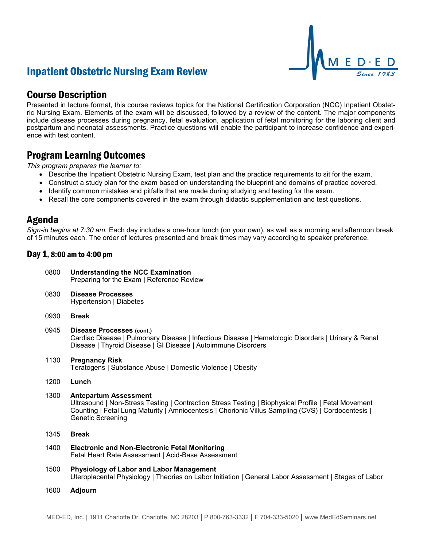# Inpatient Obstetric Nursing Exam Review



## Course Description

Presented in lecture format, this course reviews topics for the National Certification Corporation (NCC) Inpatient Obstetric Nursing Exam. Elements of the exam will be discussed, followed by a review of the content. The major components include disease processes during pregnancy, fetal evaluation, application of fetal monitoring for the laboring client and postpartum and neonatal assessments. Practice questions will enable the participant to increase confidence and experience with test content.

## Program Learning Outcomes

*This program prepares the learner to:*

- Describe the Inpatient Obstetric Nursing Exam, test plan and the practice requirements to sit for the exam.
- Construct a study plan for the exam based on understanding the blueprint and domains of practice covered.
- Identify common mistakes and pitfalls that are made during studying and testing for the exam.
- Recall the core components covered in the exam through didactic supplementation and test questions.

### Agenda

*Sign-in begins at 7:30 am.* Each day includes a one-hour lunch (on your own), as well as a morning and afternoon break of 15 minutes each. The order of lectures presented and break times may vary according to speaker preference.

#### Day 1, 8:00 am to 4:00 pm

| 0800 | <b>Understanding the NCC Examination</b><br>Preparing for the Exam   Reference Review                                                                                                                                                                          |
|------|----------------------------------------------------------------------------------------------------------------------------------------------------------------------------------------------------------------------------------------------------------------|
| 0830 | <b>Disease Processes</b><br>Hypertension   Diabetes                                                                                                                                                                                                            |
| 0930 | <b>Break</b>                                                                                                                                                                                                                                                   |
| 0945 | <b>Disease Processes (cont.)</b><br>Cardiac Disease   Pulmonary Disease   Infectious Disease   Hematologic Disorders   Urinary & Renal<br>Disease   Thyroid Disease   GI Disease   Autoimmune Disorders                                                        |
| 1130 | <b>Pregnancy Risk</b><br>Teratogens   Substance Abuse   Domestic Violence   Obesity                                                                                                                                                                            |
| 1200 | Lunch                                                                                                                                                                                                                                                          |
| 1300 | <b>Antepartum Assessment</b><br>Ultrasound   Non-Stress Testing   Contraction Stress Testing   Biophysical Profile   Fetal Movement<br>Counting   Fetal Lung Maturity   Amniocentesis   Chorionic Villus Sampling (CVS)   Cordocentesis  <br>Genetic Screening |
| 1345 | <b>Break</b>                                                                                                                                                                                                                                                   |
| 1400 | <b>Electronic and Non-Electronic Fetal Monitoring</b><br>Fetal Heart Rate Assessment   Acid-Base Assessment                                                                                                                                                    |
| 1500 | <b>Physiology of Labor and Labor Management</b><br>Uteroplacental Physiology   Theories on Labor Initiation   General Labor Assessment   Stages of Labor                                                                                                       |
| 1600 | <b>Adjourn</b>                                                                                                                                                                                                                                                 |
|      |                                                                                                                                                                                                                                                                |